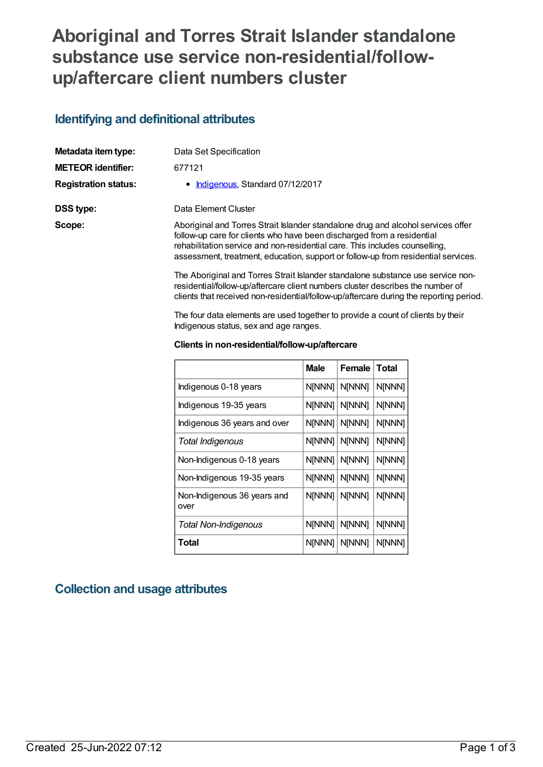# **Aboriginal and Torres Strait Islander standalone substance use service non-residential/followup/aftercare client numbers cluster**

### **Identifying and definitional attributes**

| Metadata item type:         | Data Set Specification                                                                                                                                                                                                                                                                                                         |
|-----------------------------|--------------------------------------------------------------------------------------------------------------------------------------------------------------------------------------------------------------------------------------------------------------------------------------------------------------------------------|
| <b>METEOR identifier:</b>   | 677121                                                                                                                                                                                                                                                                                                                         |
| <b>Registration status:</b> | • Indigenous, Standard 07/12/2017                                                                                                                                                                                                                                                                                              |
| DSS type:                   | Data Element Cluster                                                                                                                                                                                                                                                                                                           |
| Scope:                      | Aboriginal and Torres Strait Islander standalone drug and alcohol services offer<br>follow-up care for clients who have been discharged from a residential<br>rehabilitation service and non-residential care. This includes counselling,<br>assessment, treatment, education, support or follow-up from residential services. |
|                             | The Aboriginal and Torres Strait Islander standalone substance use service non-                                                                                                                                                                                                                                                |

residential/follow-up/aftercare client numbers cluster describes the number of clients that received non-residential/follow-up/aftercare during the reporting period.

The four data elements are used together to provide a count of clients by their Indigenous status, sex and age ranges.

#### **Clients in non-residential/follow-up/aftercare**

|                                     | <b>Male</b> | Female | <b>Total</b> |
|-------------------------------------|-------------|--------|--------------|
| Indigenous 0-18 years               | N[NNN]      | N[NNN] | N[NNN]       |
| Indigenous 19-35 years              | N[NNN]      | N[NNN] | N[NNN]       |
| Indigenous 36 years and over        | N[NNN]      | N[NNN] | N[NNN]       |
| Total Indigenous                    | N[NNN]      | N[NNN] | N[NNN]       |
| Non-Indigenous 0-18 years           | N[NNN]      | N[NNN] | N[NNN]       |
| Non-Indigenous 19-35 years          | N[NNN]      | N[NNN] | N[NNN]       |
| Non-Indigenous 36 years and<br>over | N[NNN]      | N[NNN] | N[NNN]       |
| <b>Total Non-Indigenous</b>         | N[NNN]      | N[NNN] | N[NNN]       |
| Total                               | N[NNN]      | N[NNN] | N[NNN]       |

#### **Collection and usage attributes**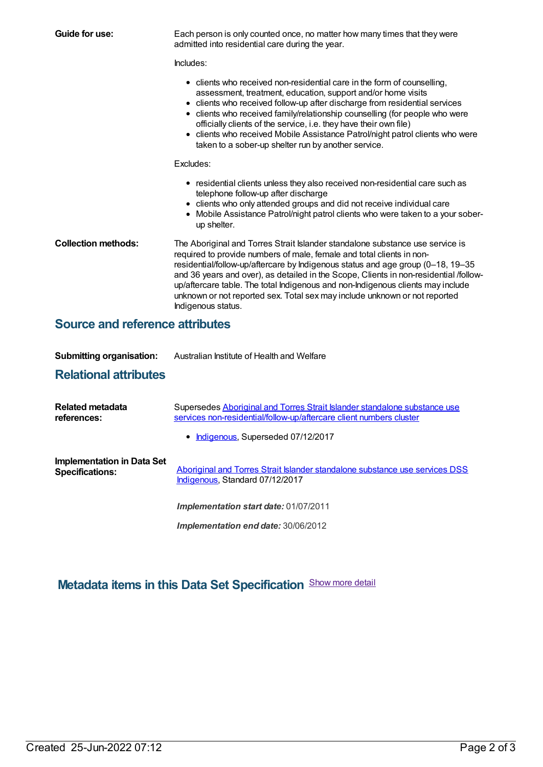| Guide for use:                         | Each person is only counted once, no matter how many times that they were<br>admitted into residential care during the year.                                                                                                                                                                                                                                                                                                                                                                                              |
|----------------------------------------|---------------------------------------------------------------------------------------------------------------------------------------------------------------------------------------------------------------------------------------------------------------------------------------------------------------------------------------------------------------------------------------------------------------------------------------------------------------------------------------------------------------------------|
|                                        | Includes:                                                                                                                                                                                                                                                                                                                                                                                                                                                                                                                 |
|                                        | • clients who received non-residential care in the form of counselling,<br>assessment, treatment, education, support and/or home visits<br>• clients who received follow-up after discharge from residential services<br>• clients who received family/relationship counselling (for people who were<br>officially clients of the service, i.e. they have their own file)<br>• clients who received Mobile Assistance Patrol/night patrol clients who were<br>taken to a sober-up shelter run by another service.         |
|                                        | Excludes:                                                                                                                                                                                                                                                                                                                                                                                                                                                                                                                 |
|                                        | • residential clients unless they also received non-residential care such as<br>telephone follow-up after discharge<br>• clients who only attended groups and did not receive individual care<br>• Mobile Assistance Patrol/night patrol clients who were taken to a your sober-<br>up shelter.                                                                                                                                                                                                                           |
| <b>Collection methods:</b>             | The Aboriginal and Torres Strait Islander standalone substance use service is<br>required to provide numbers of male, female and total clients in non-<br>residential/follow-up/aftercare by Indigenous status and age group (0-18, 19-35<br>and 36 years and over), as detailed in the Scope, Clients in non-residential /follow-<br>up/aftercare table. The total Indigenous and non-Indigenous clients may include<br>unknown or not reported sex. Total sex may include unknown or not reported<br>Indigenous status. |
| <b>Source and reference attributes</b> |                                                                                                                                                                                                                                                                                                                                                                                                                                                                                                                           |

| <b>Submitting organisation:</b> | Australian Institute of Health and Welfare |
|---------------------------------|--------------------------------------------|

#### **Relational attributes**

| Related metadata<br>references:                             | Supersedes Aboriginal and Torres Strait Islander standalone substance use<br>services non-residential/follow-up/aftercare client numbers cluster |  |
|-------------------------------------------------------------|--------------------------------------------------------------------------------------------------------------------------------------------------|--|
|                                                             | • Indigenous, Superseded 07/12/2017                                                                                                              |  |
| <b>Implementation in Data Set</b><br><b>Specifications:</b> | Aboriginal and Torres Strait Islander standalone substance use services DSS<br>Indigenous, Standard 07/12/2017                                   |  |
|                                                             | Implementation start date: 01/07/2011                                                                                                            |  |
|                                                             | Implementation end date: 30/06/2012                                                                                                              |  |

## **Metadata items in this Data Set Specification** Show more detail